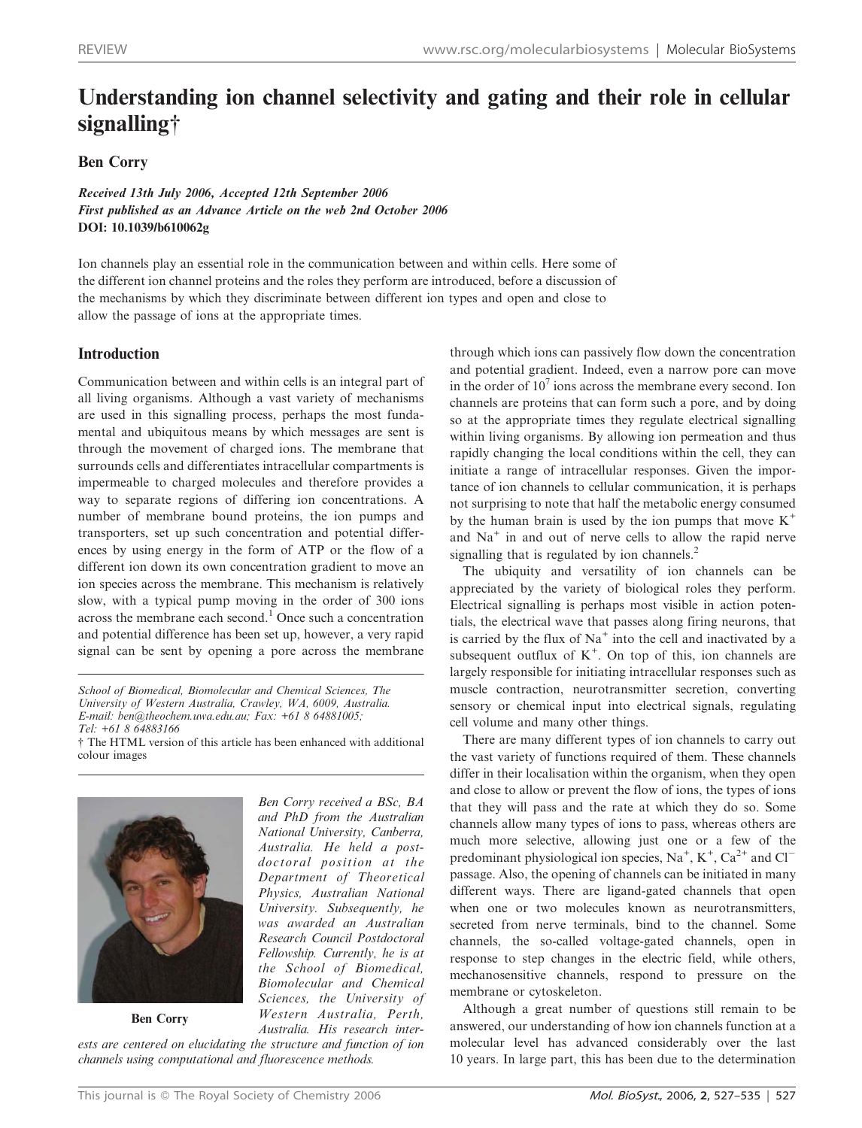# Understanding ion channel selectivity and gating and their role in cellular signalling<sup>†</sup>

# Ben Corry

Received 13th July 2006, Accepted 12th September 2006 First published as an Advance Article on the web 2nd October 2006 DOI: 10.1039/b610062g

Ion channels play an essential role in the communication between and within cells. Here some of the different ion channel proteins and the roles they perform are introduced, before a discussion of the mechanisms by which they discriminate between different ion types and open and close to allow the passage of ions at the appropriate times.

# Introduction

Communication between and within cells is an integral part of all living organisms. Although a vast variety of mechanisms are used in this signalling process, perhaps the most fundamental and ubiquitous means by which messages are sent is through the movement of charged ions. The membrane that surrounds cells and differentiates intracellular compartments is impermeable to charged molecules and therefore provides a way to separate regions of differing ion concentrations. A number of membrane bound proteins, the ion pumps and transporters, set up such concentration and potential differences by using energy in the form of ATP or the flow of a different ion down its own concentration gradient to move an ion species across the membrane. This mechanism is relatively slow, with a typical pump moving in the order of 300 ions across the membrane each second.<sup>1</sup> Once such a concentration and potential difference has been set up, however, a very rapid signal can be sent by opening a pore across the membrane

School of Biomedical, Biomolecular and Chemical Sciences, The University of Western Australia, Crawley, WA, 6009, Australia. E-mail: ben@theochem.uwa.edu.au; Fax: +61 8 64881005; Tel: +61 8 64883166

{ The HTML version of this article has been enhanced with additional colour images



Ben Corry

Ben Corry received a BSc, BA and PhD from the Australian National University, Canberra, Australia. He held a postdoctoral position at the Department of Theoretical Physics, Australian National University. Subsequently, he was awarded an Australian Research Council Postdoctoral Fellowship. Currently, he is at the School of Biomedical, Biomolecular and Chemical Sciences, the University of Western Australia, Perth, Australia. His research inter-

ests are centered on elucidating the structure and function of ion channels using computational and fluorescence methods.

through which ions can passively flow down the concentration and potential gradient. Indeed, even a narrow pore can move in the order of  $10<sup>7</sup>$  ions across the membrane every second. Ion channels are proteins that can form such a pore, and by doing so at the appropriate times they regulate electrical signalling within living organisms. By allowing ion permeation and thus rapidly changing the local conditions within the cell, they can initiate a range of intracellular responses. Given the importance of ion channels to cellular communication, it is perhaps not surprising to note that half the metabolic energy consumed by the human brain is used by the ion pumps that move  $K^+$ and Na+ in and out of nerve cells to allow the rapid nerve signalling that is regulated by ion channels.<sup>2</sup>

The ubiquity and versatility of ion channels can be appreciated by the variety of biological roles they perform. Electrical signalling is perhaps most visible in action potentials, the electrical wave that passes along firing neurons, that is carried by the flux of  $Na<sup>+</sup>$  into the cell and inactivated by a subsequent outflux of  $K^+$ . On top of this, ion channels are largely responsible for initiating intracellular responses such as muscle contraction, neurotransmitter secretion, converting sensory or chemical input into electrical signals, regulating cell volume and many other things.

There are many different types of ion channels to carry out the vast variety of functions required of them. These channels differ in their localisation within the organism, when they open and close to allow or prevent the flow of ions, the types of ions that they will pass and the rate at which they do so. Some channels allow many types of ions to pass, whereas others are much more selective, allowing just one or a few of the predominant physiological ion species,  $Na^+$ ,  $K^+$ ,  $Ca^{2+}$  and  $Cl^$ passage. Also, the opening of channels can be initiated in many different ways. There are ligand-gated channels that open when one or two molecules known as neurotransmitters, secreted from nerve terminals, bind to the channel. Some channels, the so-called voltage-gated channels, open in response to step changes in the electric field, while others, mechanosensitive channels, respond to pressure on the membrane or cytoskeleton.

Although a great number of questions still remain to be answered, our understanding of how ion channels function at a molecular level has advanced considerably over the last 10 years. In large part, this has been due to the determination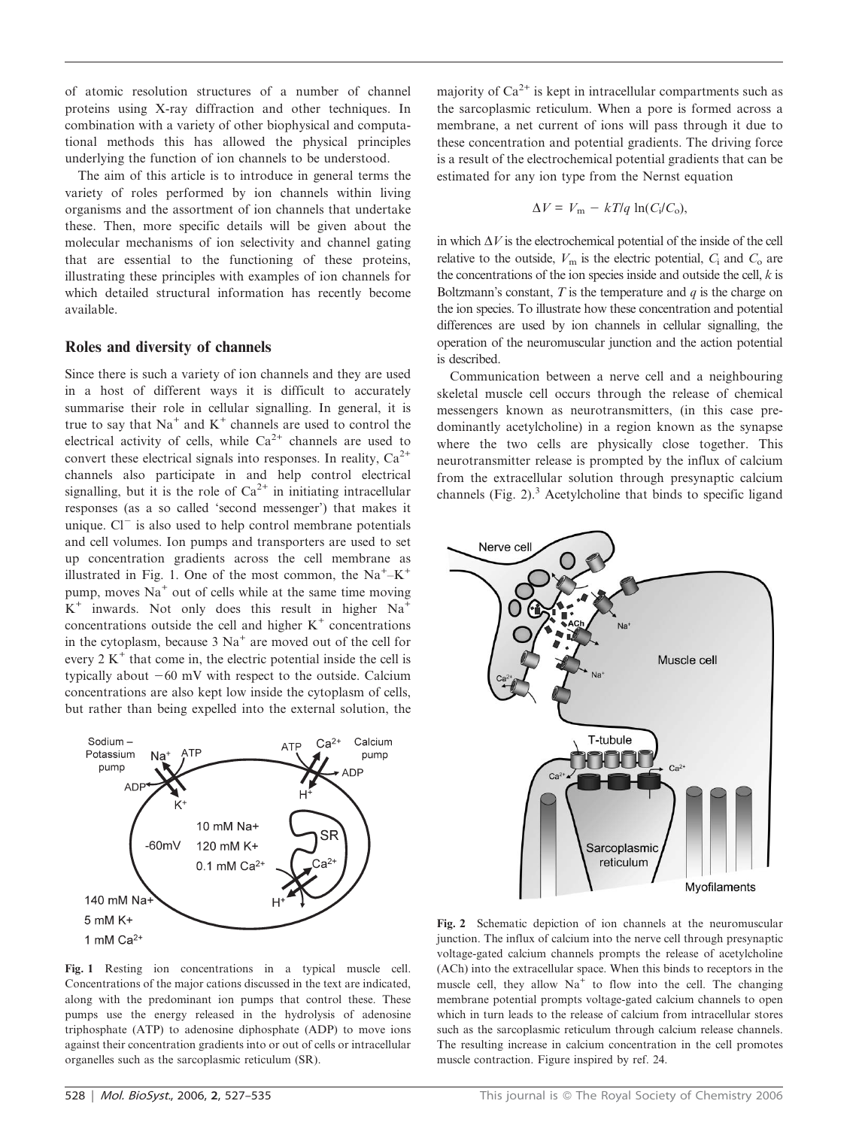of atomic resolution structures of a number of channel proteins using X-ray diffraction and other techniques. In combination with a variety of other biophysical and computational methods this has allowed the physical principles underlying the function of ion channels to be understood.

The aim of this article is to introduce in general terms the variety of roles performed by ion channels within living organisms and the assortment of ion channels that undertake these. Then, more specific details will be given about the molecular mechanisms of ion selectivity and channel gating that are essential to the functioning of these proteins, illustrating these principles with examples of ion channels for which detailed structural information has recently become available.

## Roles and diversity of channels

Since there is such a variety of ion channels and they are used in a host of different ways it is difficult to accurately summarise their role in cellular signalling. In general, it is true to say that  $Na<sup>+</sup>$  and  $K<sup>+</sup>$  channels are used to control the electrical activity of cells, while  $Ca^{2+}$  channels are used to convert these electrical signals into responses. In reality,  $Ca^{2+}$ channels also participate in and help control electrical signalling, but it is the role of  $Ca^{2+}$  in initiating intracellular responses (as a so called 'second messenger') that makes it unique.  $Cl^-$  is also used to help control membrane potentials and cell volumes. Ion pumps and transporters are used to set up concentration gradients across the cell membrane as illustrated in Fig. 1. One of the most common, the  $Na<sup>+</sup>-K<sup>+</sup>$ pump, moves Na<sup>+</sup> out of cells while at the same time moving  $K^+$  inwards. Not only does this result in higher  $Na^+$ concentrations outside the cell and higher  $K^+$  concentrations in the cytoplasm, because  $3 \text{ Na}^+$  are moved out of the cell for every  $2 K<sup>+</sup>$  that come in, the electric potential inside the cell is typically about  $-60$  mV with respect to the outside. Calcium concentrations are also kept low inside the cytoplasm of cells, but rather than being expelled into the external solution, the



Fig. 1 Resting ion concentrations in a typical muscle cell. Concentrations of the major cations discussed in the text are indicated, along with the predominant ion pumps that control these. These pumps use the energy released in the hydrolysis of adenosine triphosphate (ATP) to adenosine diphosphate (ADP) to move ions against their concentration gradients into or out of cells or intracellular organelles such as the sarcoplasmic reticulum (SR).

majority of  $Ca^{2+}$  is kept in intracellular compartments such as the sarcoplasmic reticulum. When a pore is formed across a membrane, a net current of ions will pass through it due to these concentration and potential gradients. The driving force is a result of the electrochemical potential gradients that can be estimated for any ion type from the Nernst equation

$$
\Delta V = V_{\rm m} - kT/q \ln(C_{\rm i}/C_{\rm o}),
$$

in which  $\Delta V$  is the electrochemical potential of the inside of the cell relative to the outside,  $V_m$  is the electric potential,  $C_i$  and  $C_o$  are the concentrations of the ion species inside and outside the cell,  $k$  is Boltzmann's constant,  $T$  is the temperature and  $q$  is the charge on the ion species. To illustrate how these concentration and potential differences are used by ion channels in cellular signalling, the operation of the neuromuscular junction and the action potential is described.

Communication between a nerve cell and a neighbouring skeletal muscle cell occurs through the release of chemical messengers known as neurotransmitters, (in this case predominantly acetylcholine) in a region known as the synapse where the two cells are physically close together. This neurotransmitter release is prompted by the influx of calcium from the extracellular solution through presynaptic calcium channels (Fig.  $2)$ ).<sup>3</sup> Acetylcholine that binds to specific ligand



Fig. 2 Schematic depiction of ion channels at the neuromuscular junction. The influx of calcium into the nerve cell through presynaptic voltage-gated calcium channels prompts the release of acetylcholine (ACh) into the extracellular space. When this binds to receptors in the muscle cell, they allow  $Na<sup>+</sup>$  to flow into the cell. The changing membrane potential prompts voltage-gated calcium channels to open which in turn leads to the release of calcium from intracellular stores such as the sarcoplasmic reticulum through calcium release channels. The resulting increase in calcium concentration in the cell promotes muscle contraction. Figure inspired by ref. 24.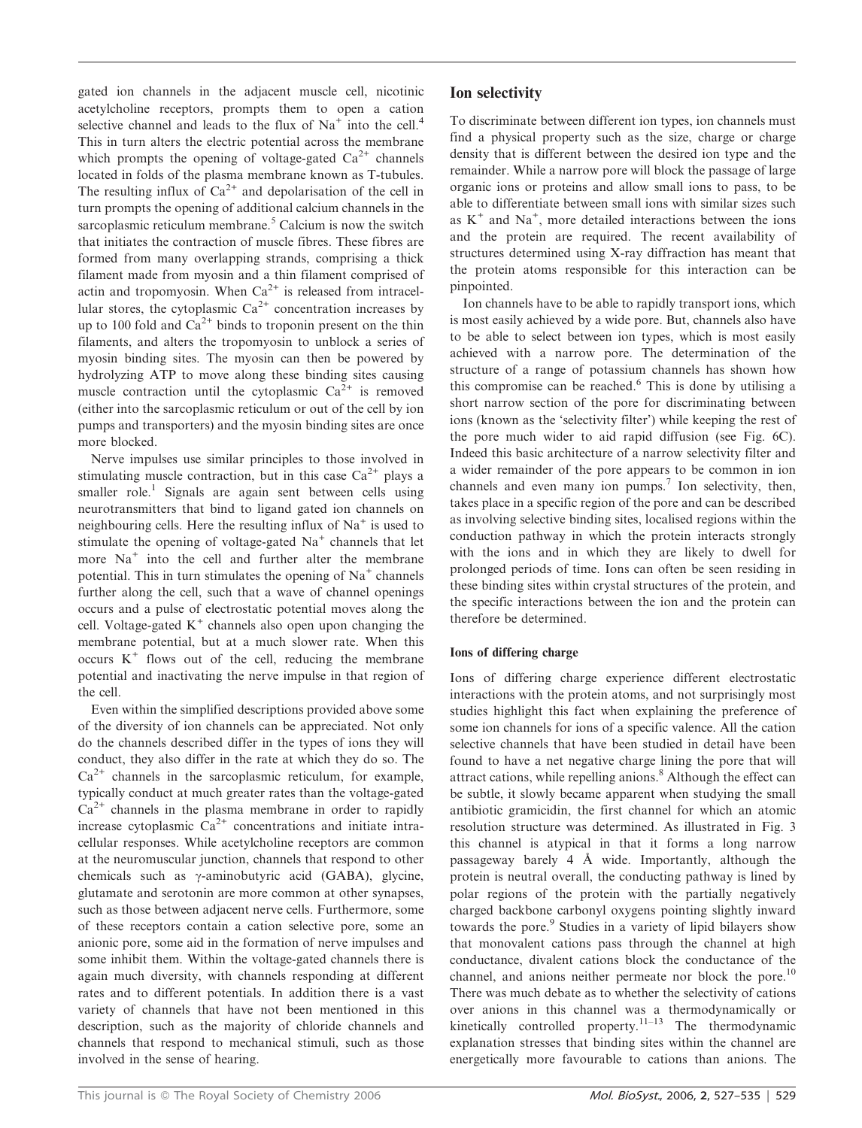gated ion channels in the adjacent muscle cell, nicotinic acetylcholine receptors, prompts them to open a cation selective channel and leads to the flux of  $Na<sup>+</sup>$  into the cell.<sup>4</sup> This in turn alters the electric potential across the membrane which prompts the opening of voltage-gated  $Ca^{2+}$  channels located in folds of the plasma membrane known as T-tubules. The resulting influx of  $Ca^{2+}$  and depolarisation of the cell in turn prompts the opening of additional calcium channels in the sarcoplasmic reticulum membrane.<sup>5</sup> Calcium is now the switch that initiates the contraction of muscle fibres. These fibres are formed from many overlapping strands, comprising a thick filament made from myosin and a thin filament comprised of actin and tropomyosin. When  $Ca^{2+}$  is released from intracellular stores, the cytoplasmic  $Ca^{2+}$  concentration increases by up to 100 fold and  $Ca^{2+}$  binds to troponin present on the thin filaments, and alters the tropomyosin to unblock a series of myosin binding sites. The myosin can then be powered by hydrolyzing ATP to move along these binding sites causing muscle contraction until the cytoplasmic  $Ca^{2+}$  is removed (either into the sarcoplasmic reticulum or out of the cell by ion pumps and transporters) and the myosin binding sites are once more blocked.

Nerve impulses use similar principles to those involved in stimulating muscle contraction, but in this case  $Ca^{2+}$  plays a smaller role.<sup>1</sup> Signals are again sent between cells using neurotransmitters that bind to ligand gated ion channels on neighbouring cells. Here the resulting influx of  $Na<sup>+</sup>$  is used to stimulate the opening of voltage-gated  $Na<sup>+</sup>$  channels that let more Na<sup>+</sup> into the cell and further alter the membrane potential. This in turn stimulates the opening of  $Na<sup>+</sup>$  channels further along the cell, such that a wave of channel openings occurs and a pulse of electrostatic potential moves along the cell. Voltage-gated  $K^+$  channels also open upon changing the membrane potential, but at a much slower rate. When this occurs  $K^+$  flows out of the cell, reducing the membrane potential and inactivating the nerve impulse in that region of the cell.

Even within the simplified descriptions provided above some of the diversity of ion channels can be appreciated. Not only do the channels described differ in the types of ions they will conduct, they also differ in the rate at which they do so. The  $Ca<sup>2+</sup>$  channels in the sarcoplasmic reticulum, for example, typically conduct at much greater rates than the voltage-gated  $Ca<sup>2+</sup>$  channels in the plasma membrane in order to rapidly increase cytoplasmic  $Ca^{2+}$  concentrations and initiate intracellular responses. While acetylcholine receptors are common at the neuromuscular junction, channels that respond to other chemicals such as  $\gamma$ -aminobutyric acid (GABA), glycine, glutamate and serotonin are more common at other synapses, such as those between adjacent nerve cells. Furthermore, some of these receptors contain a cation selective pore, some an anionic pore, some aid in the formation of nerve impulses and some inhibit them. Within the voltage-gated channels there is again much diversity, with channels responding at different rates and to different potentials. In addition there is a vast variety of channels that have not been mentioned in this description, such as the majority of chloride channels and channels that respond to mechanical stimuli, such as those involved in the sense of hearing.

To discriminate between different ion types, ion channels must find a physical property such as the size, charge or charge density that is different between the desired ion type and the remainder. While a narrow pore will block the passage of large organic ions or proteins and allow small ions to pass, to be able to differentiate between small ions with similar sizes such as  $K^+$  and  $Na^+$ , more detailed interactions between the ions and the protein are required. The recent availability of structures determined using X-ray diffraction has meant that the protein atoms responsible for this interaction can be pinpointed.

Ion channels have to be able to rapidly transport ions, which is most easily achieved by a wide pore. But, channels also have to be able to select between ion types, which is most easily achieved with a narrow pore. The determination of the structure of a range of potassium channels has shown how this compromise can be reached. $6$  This is done by utilising a short narrow section of the pore for discriminating between ions (known as the 'selectivity filter') while keeping the rest of the pore much wider to aid rapid diffusion (see Fig. 6C). Indeed this basic architecture of a narrow selectivity filter and a wider remainder of the pore appears to be common in ion channels and even many ion pumps.<sup>7</sup> Ion selectivity, then, takes place in a specific region of the pore and can be described as involving selective binding sites, localised regions within the conduction pathway in which the protein interacts strongly with the ions and in which they are likely to dwell for prolonged periods of time. Ions can often be seen residing in these binding sites within crystal structures of the protein, and the specific interactions between the ion and the protein can therefore be determined.

# Ions of differing charge

Ions of differing charge experience different electrostatic interactions with the protein atoms, and not surprisingly most studies highlight this fact when explaining the preference of some ion channels for ions of a specific valence. All the cation selective channels that have been studied in detail have been found to have a net negative charge lining the pore that will attract cations, while repelling anions.<sup>8</sup> Although the effect can be subtle, it slowly became apparent when studying the small antibiotic gramicidin, the first channel for which an atomic resolution structure was determined. As illustrated in Fig. 3 this channel is atypical in that it forms a long narrow passageway barely  $4 \text{ Å}$  wide. Importantly, although the protein is neutral overall, the conducting pathway is lined by polar regions of the protein with the partially negatively charged backbone carbonyl oxygens pointing slightly inward towards the pore.<sup>9</sup> Studies in a variety of lipid bilayers show that monovalent cations pass through the channel at high conductance, divalent cations block the conductance of the channel, and anions neither permeate nor block the pore.<sup>10</sup> There was much debate as to whether the selectivity of cations over anions in this channel was a thermodynamically or kinetically controlled property.<sup>11–13</sup> The thermodynamic explanation stresses that binding sites within the channel are energetically more favourable to cations than anions. The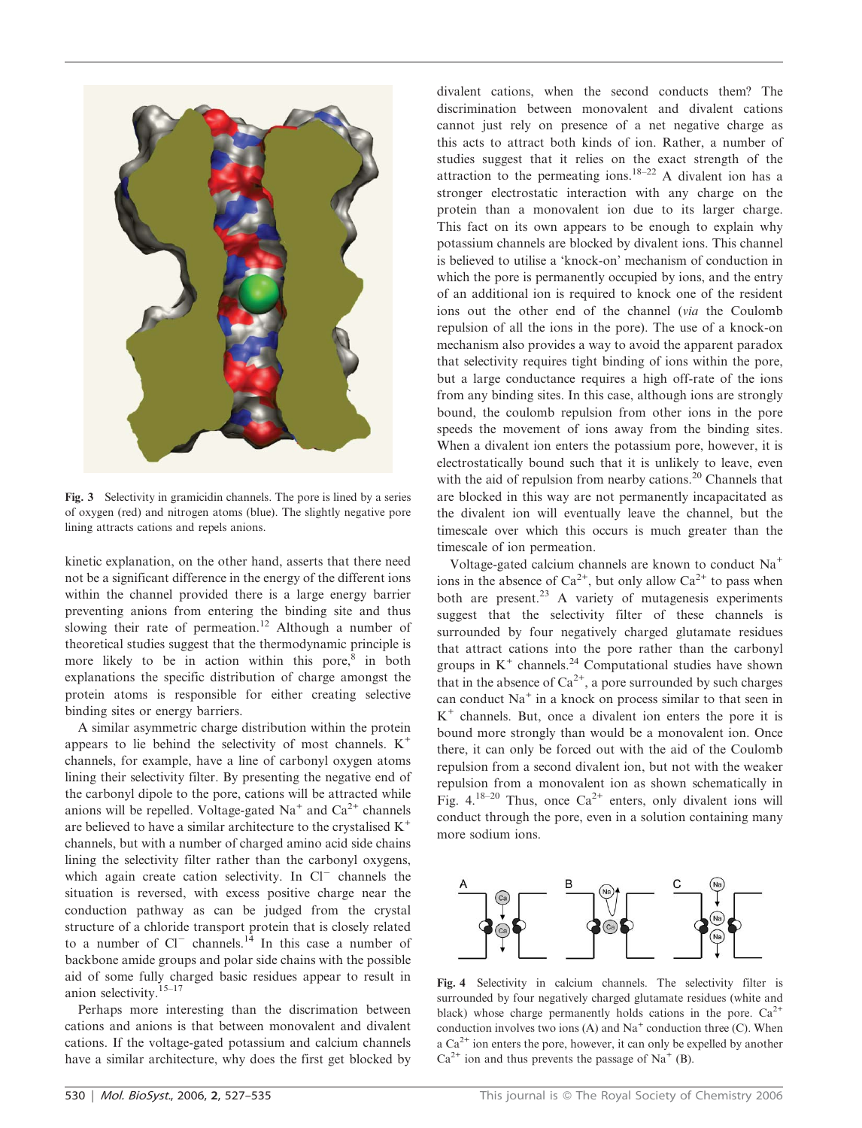

Fig. 3 Selectivity in gramicidin channels. The pore is lined by a series of oxygen (red) and nitrogen atoms (blue). The slightly negative pore lining attracts cations and repels anions.

kinetic explanation, on the other hand, asserts that there need not be a significant difference in the energy of the different ions within the channel provided there is a large energy barrier preventing anions from entering the binding site and thus slowing their rate of permeation.<sup>12</sup> Although a number of theoretical studies suggest that the thermodynamic principle is more likely to be in action within this pore, $8$  in both explanations the specific distribution of charge amongst the protein atoms is responsible for either creating selective binding sites or energy barriers.

A similar asymmetric charge distribution within the protein appears to lie behind the selectivity of most channels.  $K^+$ channels, for example, have a line of carbonyl oxygen atoms lining their selectivity filter. By presenting the negative end of the carbonyl dipole to the pore, cations will be attracted while anions will be repelled. Voltage-gated  $Na<sup>+</sup>$  and  $Ca<sup>2+</sup>$  channels are believed to have a similar architecture to the crystalised  $K^+$ channels, but with a number of charged amino acid side chains lining the selectivity filter rather than the carbonyl oxygens, which again create cation selectivity. In  $Cl^-$  channels the situation is reversed, with excess positive charge near the conduction pathway as can be judged from the crystal structure of a chloride transport protein that is closely related to a number of  $CI^-$  channels.<sup>14</sup> In this case a number of backbone amide groups and polar side chains with the possible aid of some fully charged basic residues appear to result in anion selectivity.15–17

Perhaps more interesting than the discrimation between cations and anions is that between monovalent and divalent cations. If the voltage-gated potassium and calcium channels have a similar architecture, why does the first get blocked by divalent cations, when the second conducts them? The discrimination between monovalent and divalent cations cannot just rely on presence of a net negative charge as this acts to attract both kinds of ion. Rather, a number of studies suggest that it relies on the exact strength of the attraction to the permeating ions.<sup>18–22</sup> A divalent ion has a stronger electrostatic interaction with any charge on the protein than a monovalent ion due to its larger charge. This fact on its own appears to be enough to explain why potassium channels are blocked by divalent ions. This channel is believed to utilise a 'knock-on' mechanism of conduction in which the pore is permanently occupied by ions, and the entry of an additional ion is required to knock one of the resident ions out the other end of the channel (via the Coulomb repulsion of all the ions in the pore). The use of a knock-on mechanism also provides a way to avoid the apparent paradox that selectivity requires tight binding of ions within the pore, but a large conductance requires a high off-rate of the ions from any binding sites. In this case, although ions are strongly bound, the coulomb repulsion from other ions in the pore speeds the movement of ions away from the binding sites. When a divalent ion enters the potassium pore, however, it is electrostatically bound such that it is unlikely to leave, even with the aid of repulsion from nearby cations.<sup>20</sup> Channels that are blocked in this way are not permanently incapacitated as the divalent ion will eventually leave the channel, but the timescale over which this occurs is much greater than the timescale of ion permeation.

Voltage-gated calcium channels are known to conduct Na<sup>+</sup> ions in the absence of  $Ca^{2+}$ , but only allow  $Ca^{2+}$  to pass when both are present.<sup>23</sup> A variety of mutagenesis experiments suggest that the selectivity filter of these channels is surrounded by four negatively charged glutamate residues that attract cations into the pore rather than the carbonyl groups in  $K^+$  channels.<sup>24</sup> Computational studies have shown that in the absence of  $Ca^{2+}$ , a pore surrounded by such charges can conduct  $Na<sup>+</sup>$  in a knock on process similar to that seen in  $K^+$  channels. But, once a divalent ion enters the pore it is bound more strongly than would be a monovalent ion. Once there, it can only be forced out with the aid of the Coulomb repulsion from a second divalent ion, but not with the weaker repulsion from a monovalent ion as shown schematically in Fig.  $4^{18-20}$  Thus, once  $Ca^{2+}$  enters, only divalent ions will conduct through the pore, even in a solution containing many more sodium ions.



Fig. 4 Selectivity in calcium channels. The selectivity filter is surrounded by four negatively charged glutamate residues (white and black) whose charge permanently holds cations in the pore.  $Ca^{2+}$ conduction involves two ions (A) and  $Na<sup>+</sup>$  conduction three (C). When a  $Ca<sup>2+</sup>$  ion enters the pore, however, it can only be expelled by another  $Ca^{2+}$  ion and thus prevents the passage of Na<sup>+</sup> (B).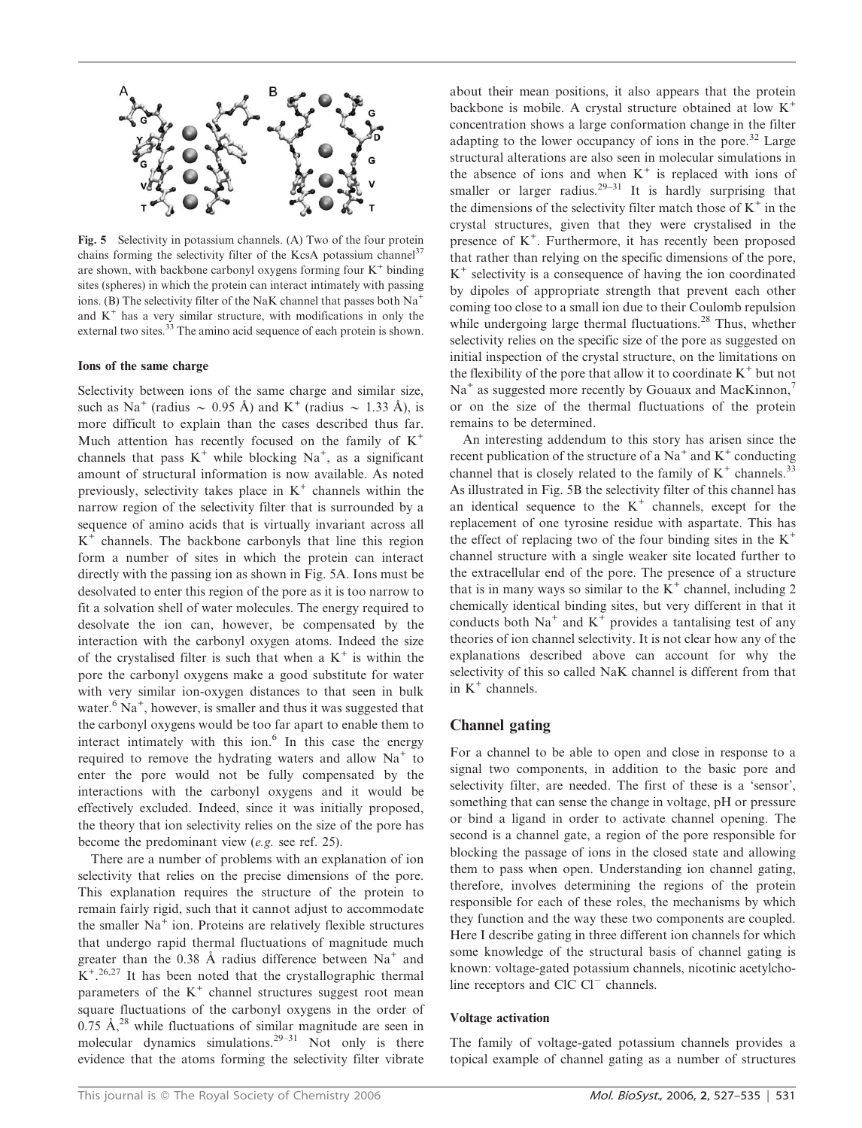

Fig. 5 Selectivity in potassium channels. (A) Two of the four protein chains forming the selectivity filter of the KcsA potassium channel<sup>37</sup> are shown, with backbone carbonyl oxygens forming four  $K^+$  binding sites (spheres) in which the protein can interact intimately with passing ions. (B) The selectivity filter of the NaK channel that passes both  $Na<sup>+</sup>$ and  $K^+$  has a very similar structure, with modifications in only the external two sites.<sup>33</sup> The amino acid sequence of each protein is shown.

#### Ions of the same charge

Selectivity between ions of the same charge and similar size, such as Na<sup>+</sup> (radius  $\sim$  0.95 Å) and K<sup>+</sup> (radius  $\sim$  1.33 Å), is more difficult to explain than the cases described thus far. Much attention has recently focused on the family of  $K^+$ channels that pass  $K^+$  while blocking Na<sup>+</sup>, as a significant amount of structural information is now available. As noted previously, selectivity takes place in  $K^+$  channels within the narrow region of the selectivity filter that is surrounded by a sequence of amino acids that is virtually invariant across all  $K<sup>+</sup>$  channels. The backbone carbonyls that line this region form a number of sites in which the protein can interact directly with the passing ion as shown in Fig. 5A. Ions must be desolvated to enter this region of the pore as it is too narrow to fit a solvation shell of water molecules. The energy required to desolvate the ion can, however, be compensated by the interaction with the carbonyl oxygen atoms. Indeed the size of the crystalised filter is such that when a  $K^+$  is within the pore the carbonyl oxygens make a good substitute for water with very similar ion-oxygen distances to that seen in bulk water. $6$  Na<sup>+</sup>, however, is smaller and thus it was suggested that the carbonyl oxygens would be too far apart to enable them to interact intimately with this ion. $<sup>6</sup>$  In this case the energy</sup> required to remove the hydrating waters and allow  $Na<sup>+</sup>$  to enter the pore would not be fully compensated by the interactions with the carbonyl oxygens and it would be effectively excluded. Indeed, since it was initially proposed, the theory that ion selectivity relies on the size of the pore has become the predominant view (e.g. see ref. 25).

There are a number of problems with an explanation of ion selectivity that relies on the precise dimensions of the pore. This explanation requires the structure of the protein to remain fairly rigid, such that it cannot adjust to accommodate the smaller Na+ ion. Proteins are relatively flexible structures that undergo rapid thermal fluctuations of magnitude much greater than the 0.38 Å radius difference between  $Na<sup>+</sup>$  and  $K^{+.26,27}$  It has been noted that the crystallographic thermal parameters of the  $K^+$  channel structures suggest root mean square fluctuations of the carbonyl oxygens in the order of  $0.75$  Å,<sup>28</sup> while fluctuations of similar magnitude are seen in molecular dynamics simulations.<sup>29–31</sup> Not only is there evidence that the atoms forming the selectivity filter vibrate about their mean positions, it also appears that the protein backbone is mobile. A crystal structure obtained at low K<sup>+</sup> concentration shows a large conformation change in the filter adapting to the lower occupancy of ions in the pore.<sup>32</sup> Large structural alterations are also seen in molecular simulations in the absence of ions and when  $K^+$  is replaced with ions of smaller or larger radius.<sup>29–31</sup> It is hardly surprising that the dimensions of the selectivity filter match those of  $K^+$  in the crystal structures, given that they were crystalised in the presence of  $K^+$ . Furthermore, it has recently been proposed that rather than relying on the specific dimensions of the pore,  $K^+$  selectivity is a consequence of having the ion coordinated by dipoles of appropriate strength that prevent each other coming too close to a small ion due to their Coulomb repulsion while undergoing large thermal fluctuations.<sup>28</sup> Thus, whether selectivity relies on the specific size of the pore as suggested on initial inspection of the crystal structure, on the limitations on the flexibility of the pore that allow it to coordinate  $K^+$  but not  $Na<sup>+</sup>$  as suggested more recently by Gouaux and MacKinnon,<sup>7</sup> or on the size of the thermal fluctuations of the protein remains to be determined.

An interesting addendum to this story has arisen since the recent publication of the structure of a Na<sup>+</sup> and  $K^+$  conducting channel that is closely related to the family of  $K^+$  channels.<sup>33</sup> As illustrated in Fig. 5B the selectivity filter of this channel has an identical sequence to the  $K^+$  channels, except for the replacement of one tyrosine residue with aspartate. This has the effect of replacing two of the four binding sites in the  $K^+$ channel structure with a single weaker site located further to the extracellular end of the pore. The presence of a structure that is in many ways so similar to the  $K^+$  channel, including 2 chemically identical binding sites, but very different in that it conducts both  $Na<sup>+</sup>$  and  $K<sup>+</sup>$  provides a tantalising test of any theories of ion channel selectivity. It is not clear how any of the explanations described above can account for why the selectivity of this so called NaK channel is different from that in  $K^+$  channels.

## Channel gating

For a channel to be able to open and close in response to a signal two components, in addition to the basic pore and selectivity filter, are needed. The first of these is a 'sensor', something that can sense the change in voltage, pH or pressure or bind a ligand in order to activate channel opening. The second is a channel gate, a region of the pore responsible for blocking the passage of ions in the closed state and allowing them to pass when open. Understanding ion channel gating, therefore, involves determining the regions of the protein responsible for each of these roles, the mechanisms by which they function and the way these two components are coupled. Here I describe gating in three different ion channels for which some knowledge of the structural basis of channel gating is known: voltage-gated potassium channels, nicotinic acetylcholine receptors and  $CIC Cl<sup>-</sup> channels.$ 

#### Voltage activation

The family of voltage-gated potassium channels provides a topical example of channel gating as a number of structures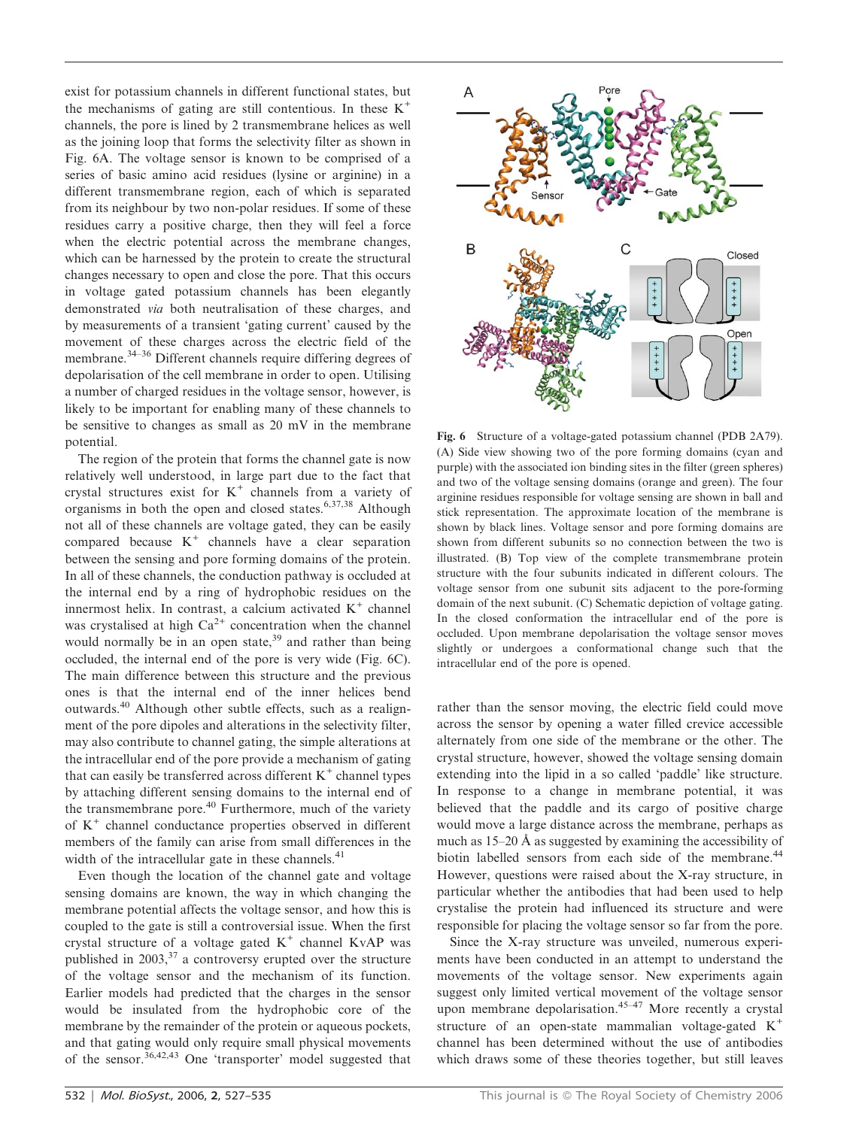exist for potassium channels in different functional states, but the mechanisms of gating are still contentious. In these  $K^+$ channels, the pore is lined by 2 transmembrane helices as well as the joining loop that forms the selectivity filter as shown in Fig. 6A. The voltage sensor is known to be comprised of a series of basic amino acid residues (lysine or arginine) in a different transmembrane region, each of which is separated from its neighbour by two non-polar residues. If some of these residues carry a positive charge, then they will feel a force when the electric potential across the membrane changes, which can be harnessed by the protein to create the structural changes necessary to open and close the pore. That this occurs in voltage gated potassium channels has been elegantly demonstrated via both neutralisation of these charges, and by measurements of a transient 'gating current' caused by the movement of these charges across the electric field of the membrane.34–36 Different channels require differing degrees of depolarisation of the cell membrane in order to open. Utilising a number of charged residues in the voltage sensor, however, is likely to be important for enabling many of these channels to be sensitive to changes as small as 20 mV in the membrane potential.

The region of the protein that forms the channel gate is now relatively well understood, in large part due to the fact that crystal structures exist for  $K^+$  channels from a variety of organisms in both the open and closed states.<sup>6,37,38</sup> Although not all of these channels are voltage gated, they can be easily compared because  $K^+$  channels have a clear separation between the sensing and pore forming domains of the protein. In all of these channels, the conduction pathway is occluded at the internal end by a ring of hydrophobic residues on the innermost helix. In contrast, a calcium activated  $K^+$  channel was crystalised at high  $Ca^{2+}$  concentration when the channel would normally be in an open state, $39$  and rather than being occluded, the internal end of the pore is very wide (Fig. 6C). The main difference between this structure and the previous ones is that the internal end of the inner helices bend outwards.<sup>40</sup> Although other subtle effects, such as a realignment of the pore dipoles and alterations in the selectivity filter, may also contribute to channel gating, the simple alterations at the intracellular end of the pore provide a mechanism of gating that can easily be transferred across different  $K^+$  channel types by attaching different sensing domains to the internal end of the transmembrane pore.<sup>40</sup> Furthermore, much of the variety of K+ channel conductance properties observed in different members of the family can arise from small differences in the width of the intracellular gate in these channels.<sup>41</sup>

Even though the location of the channel gate and voltage sensing domains are known, the way in which changing the membrane potential affects the voltage sensor, and how this is coupled to the gate is still a controversial issue. When the first crystal structure of a voltage gated  $K^+$  channel KvAP was published in  $2003$ ,  $37$  a controversy erupted over the structure of the voltage sensor and the mechanism of its function. Earlier models had predicted that the charges in the sensor would be insulated from the hydrophobic core of the membrane by the remainder of the protein or aqueous pockets, and that gating would only require small physical movements of the sensor.<sup>36,42,43</sup> One 'transporter' model suggested that



Fig. 6 Structure of a voltage-gated potassium channel (PDB 2A79). (A) Side view showing two of the pore forming domains (cyan and purple) with the associated ion binding sites in the filter (green spheres) and two of the voltage sensing domains (orange and green). The four arginine residues responsible for voltage sensing are shown in ball and stick representation. The approximate location of the membrane is shown by black lines. Voltage sensor and pore forming domains are shown from different subunits so no connection between the two is illustrated. (B) Top view of the complete transmembrane protein structure with the four subunits indicated in different colours. The voltage sensor from one subunit sits adjacent to the pore-forming domain of the next subunit. (C) Schematic depiction of voltage gating. In the closed conformation the intracellular end of the pore is occluded. Upon membrane depolarisation the voltage sensor moves slightly or undergoes a conformational change such that the intracellular end of the pore is opened.

rather than the sensor moving, the electric field could move across the sensor by opening a water filled crevice accessible alternately from one side of the membrane or the other. The crystal structure, however, showed the voltage sensing domain extending into the lipid in a so called 'paddle' like structure. In response to a change in membrane potential, it was believed that the paddle and its cargo of positive charge would move a large distance across the membrane, perhaps as much as  $15-20$  Å as suggested by examining the accessibility of biotin labelled sensors from each side of the membrane.<sup>44</sup> However, questions were raised about the X-ray structure, in particular whether the antibodies that had been used to help crystalise the protein had influenced its structure and were responsible for placing the voltage sensor so far from the pore.

Since the X-ray structure was unveiled, numerous experiments have been conducted in an attempt to understand the movements of the voltage sensor. New experiments again suggest only limited vertical movement of the voltage sensor upon membrane depolarisation.<sup>45–47</sup> More recently a crystal structure of an open-state mammalian voltage-gated  $K^+$ channel has been determined without the use of antibodies which draws some of these theories together, but still leaves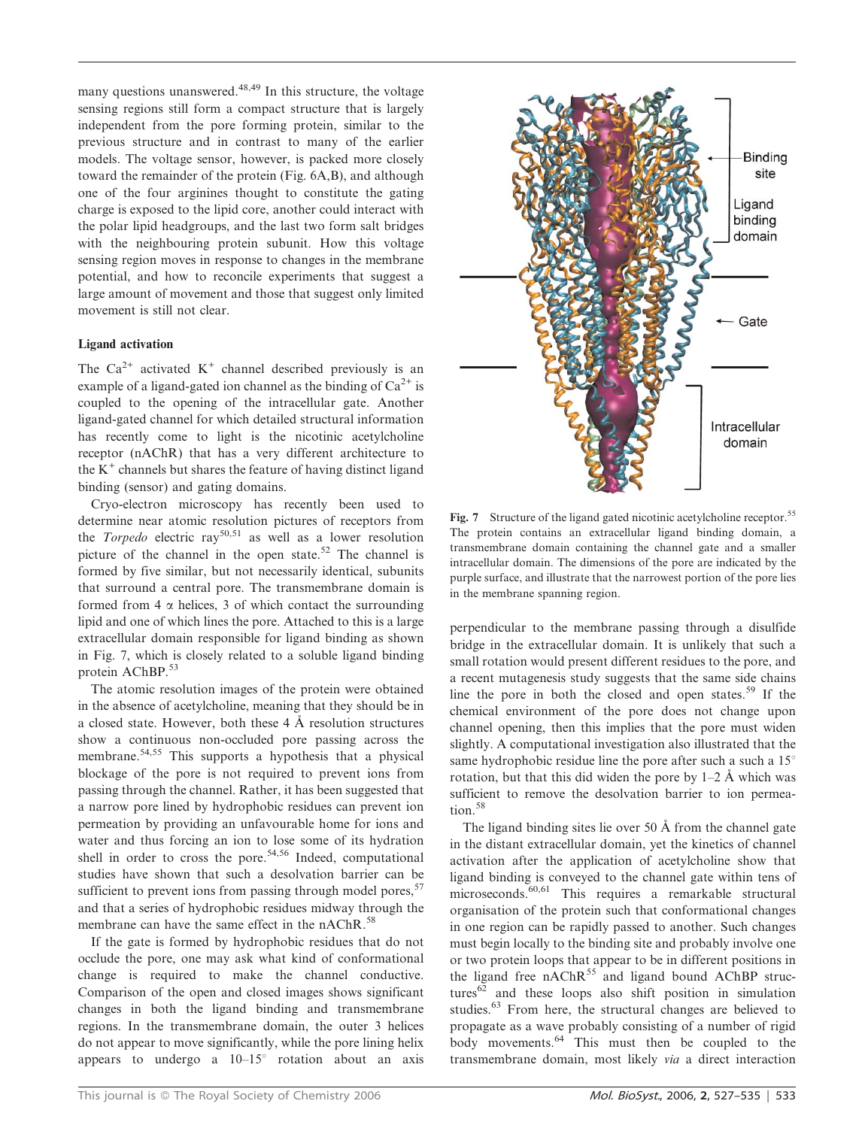many questions unanswered.<sup>48,49</sup> In this structure, the voltage sensing regions still form a compact structure that is largely independent from the pore forming protein, similar to the previous structure and in contrast to many of the earlier models. The voltage sensor, however, is packed more closely toward the remainder of the protein (Fig. 6A,B), and although one of the four arginines thought to constitute the gating charge is exposed to the lipid core, another could interact with the polar lipid headgroups, and the last two form salt bridges with the neighbouring protein subunit. How this voltage sensing region moves in response to changes in the membrane potential, and how to reconcile experiments that suggest a large amount of movement and those that suggest only limited movement is still not clear.

### Ligand activation

The  $Ca^{2+}$  activated  $K^+$  channel described previously is an example of a ligand-gated ion channel as the binding of  $Ca^{2+}$  is coupled to the opening of the intracellular gate. Another ligand-gated channel for which detailed structural information has recently come to light is the nicotinic acetylcholine receptor (nAChR) that has a very different architecture to the  $K^+$  channels but shares the feature of having distinct ligand binding (sensor) and gating domains.

Cryo-electron microscopy has recently been used to determine near atomic resolution pictures of receptors from the *Torpedo* electric  $ray^{50,51}$  as well as a lower resolution picture of the channel in the open state.<sup>52</sup> The channel is formed by five similar, but not necessarily identical, subunits that surround a central pore. The transmembrane domain is formed from 4  $\alpha$  helices, 3 of which contact the surrounding lipid and one of which lines the pore. Attached to this is a large extracellular domain responsible for ligand binding as shown in Fig. 7, which is closely related to a soluble ligand binding protein AChBP.<sup>53</sup>

The atomic resolution images of the protein were obtained in the absence of acetylcholine, meaning that they should be in a closed state. However, both these  $4 \text{ Å}$  resolution structures show a continuous non-occluded pore passing across the membrane.54,55 This supports a hypothesis that a physical blockage of the pore is not required to prevent ions from passing through the channel. Rather, it has been suggested that a narrow pore lined by hydrophobic residues can prevent ion permeation by providing an unfavourable home for ions and water and thus forcing an ion to lose some of its hydration shell in order to cross the pore.<sup>54,56</sup> Indeed, computational studies have shown that such a desolvation barrier can be sufficient to prevent ions from passing through model pores,  $57$ and that a series of hydrophobic residues midway through the membrane can have the same effect in the nAChR.<sup>58</sup>

If the gate is formed by hydrophobic residues that do not occlude the pore, one may ask what kind of conformational change is required to make the channel conductive. Comparison of the open and closed images shows significant changes in both the ligand binding and transmembrane regions. In the transmembrane domain, the outer 3 helices do not appear to move significantly, while the pore lining helix appears to undergo a  $10-15^{\circ}$  rotation about an axis



Fig. 7 Structure of the ligand gated nicotinic acetylcholine receptor.<sup>55</sup> The protein contains an extracellular ligand binding domain, a transmembrane domain containing the channel gate and a smaller intracellular domain. The dimensions of the pore are indicated by the purple surface, and illustrate that the narrowest portion of the pore lies in the membrane spanning region.

perpendicular to the membrane passing through a disulfide bridge in the extracellular domain. It is unlikely that such a small rotation would present different residues to the pore, and a recent mutagenesis study suggests that the same side chains line the pore in both the closed and open states.<sup>59</sup> If the chemical environment of the pore does not change upon channel opening, then this implies that the pore must widen slightly. A computational investigation also illustrated that the same hydrophobic residue line the pore after such a such a  $15^\circ$ rotation, but that this did widen the pore by  $1-2$  Å which was sufficient to remove the desolvation barrier to ion permeation.<sup>58</sup>

The ligand binding sites lie over 50  $\AA$  from the channel gate in the distant extracellular domain, yet the kinetics of channel activation after the application of acetylcholine show that ligand binding is conveyed to the channel gate within tens of microseconds.<sup>60,61</sup> This requires a remarkable structural organisation of the protein such that conformational changes in one region can be rapidly passed to another. Such changes must begin locally to the binding site and probably involve one or two protein loops that appear to be in different positions in the ligand free  $nAChR<sup>55</sup>$  and ligand bound AChBP structures $^{62}$  and these loops also shift position in simulation studies.<sup>63</sup> From here, the structural changes are believed to propagate as a wave probably consisting of a number of rigid body movements.<sup>64</sup> This must then be coupled to the transmembrane domain, most likely via a direct interaction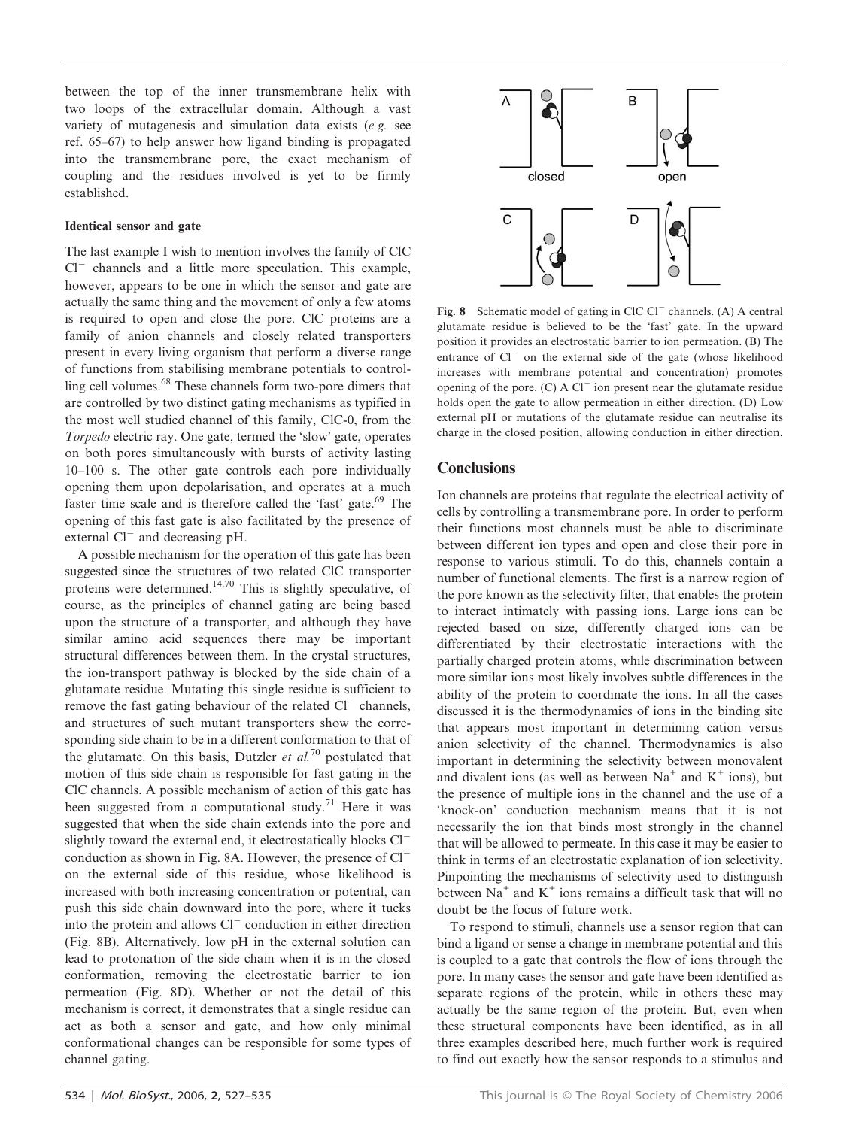between the top of the inner transmembrane helix with two loops of the extracellular domain. Although a vast variety of mutagenesis and simulation data exists (e.g. see ref. 65–67) to help answer how ligand binding is propagated into the transmembrane pore, the exact mechanism of coupling and the residues involved is yet to be firmly established.

#### Identical sensor and gate

The last example I wish to mention involves the family of ClC  $Cl^-$  channels and a little more speculation. This example, however, appears to be one in which the sensor and gate are actually the same thing and the movement of only a few atoms is required to open and close the pore. ClC proteins are a family of anion channels and closely related transporters present in every living organism that perform a diverse range of functions from stabilising membrane potentials to controlling cell volumes.<sup>68</sup> These channels form two-pore dimers that are controlled by two distinct gating mechanisms as typified in the most well studied channel of this family, ClC-0, from the Torpedo electric ray. One gate, termed the 'slow' gate, operates on both pores simultaneously with bursts of activity lasting 10–100 s. The other gate controls each pore individually opening them upon depolarisation, and operates at a much faster time scale and is therefore called the 'fast' gate.<sup>69</sup> The opening of this fast gate is also facilitated by the presence of external  $Cl^-$  and decreasing pH.

A possible mechanism for the operation of this gate has been suggested since the structures of two related ClC transporter proteins were determined.<sup>14,70</sup> This is slightly speculative, of course, as the principles of channel gating are being based upon the structure of a transporter, and although they have similar amino acid sequences there may be important structural differences between them. In the crystal structures, the ion-transport pathway is blocked by the side chain of a glutamate residue. Mutating this single residue is sufficient to remove the fast gating behaviour of the related  $Cl^-$  channels, and structures of such mutant transporters show the corresponding side chain to be in a different conformation to that of the glutamate. On this basis, Dutzler et  $al$ <sup>70</sup> postulated that motion of this side chain is responsible for fast gating in the ClC channels. A possible mechanism of action of this gate has been suggested from a computational study.<sup>71</sup> Here it was suggested that when the side chain extends into the pore and slightly toward the external end, it electrostatically blocks  $Cl^$ conduction as shown in Fig. 8A. However, the presence of  $Cl$ on the external side of this residue, whose likelihood is increased with both increasing concentration or potential, can push this side chain downward into the pore, where it tucks into the protein and allows  $Cl<sup>-</sup>$  conduction in either direction (Fig. 8B). Alternatively, low pH in the external solution can lead to protonation of the side chain when it is in the closed conformation, removing the electrostatic barrier to ion permeation (Fig. 8D). Whether or not the detail of this mechanism is correct, it demonstrates that a single residue can act as both a sensor and gate, and how only minimal conformational changes can be responsible for some types of channel gating.



Fig. 8 Schematic model of gating in ClC Cl<sup>-</sup> channels. (A) A central glutamate residue is believed to be the 'fast' gate. In the upward position it provides an electrostatic barrier to ion permeation. (B) The entrance of  $Cl^-$  on the external side of the gate (whose likelihood increases with membrane potential and concentration) promotes opening of the pore.  $(C)$  A  $Cl^-$  ion present near the glutamate residue holds open the gate to allow permeation in either direction. (D) Low external pH or mutations of the glutamate residue can neutralise its charge in the closed position, allowing conduction in either direction.

# **Conclusions**

Ion channels are proteins that regulate the electrical activity of cells by controlling a transmembrane pore. In order to perform their functions most channels must be able to discriminate between different ion types and open and close their pore in response to various stimuli. To do this, channels contain a number of functional elements. The first is a narrow region of the pore known as the selectivity filter, that enables the protein to interact intimately with passing ions. Large ions can be rejected based on size, differently charged ions can be differentiated by their electrostatic interactions with the partially charged protein atoms, while discrimination between more similar ions most likely involves subtle differences in the ability of the protein to coordinate the ions. In all the cases discussed it is the thermodynamics of ions in the binding site that appears most important in determining cation versus anion selectivity of the channel. Thermodynamics is also important in determining the selectivity between monovalent and divalent ions (as well as between  $Na<sup>+</sup>$  and  $K<sup>+</sup>$  ions), but the presence of multiple ions in the channel and the use of a 'knock-on' conduction mechanism means that it is not necessarily the ion that binds most strongly in the channel that will be allowed to permeate. In this case it may be easier to think in terms of an electrostatic explanation of ion selectivity. Pinpointing the mechanisms of selectivity used to distinguish between  $Na<sup>+</sup>$  and  $K<sup>+</sup>$  ions remains a difficult task that will no doubt be the focus of future work.

To respond to stimuli, channels use a sensor region that can bind a ligand or sense a change in membrane potential and this is coupled to a gate that controls the flow of ions through the pore. In many cases the sensor and gate have been identified as separate regions of the protein, while in others these may actually be the same region of the protein. But, even when these structural components have been identified, as in all three examples described here, much further work is required to find out exactly how the sensor responds to a stimulus and